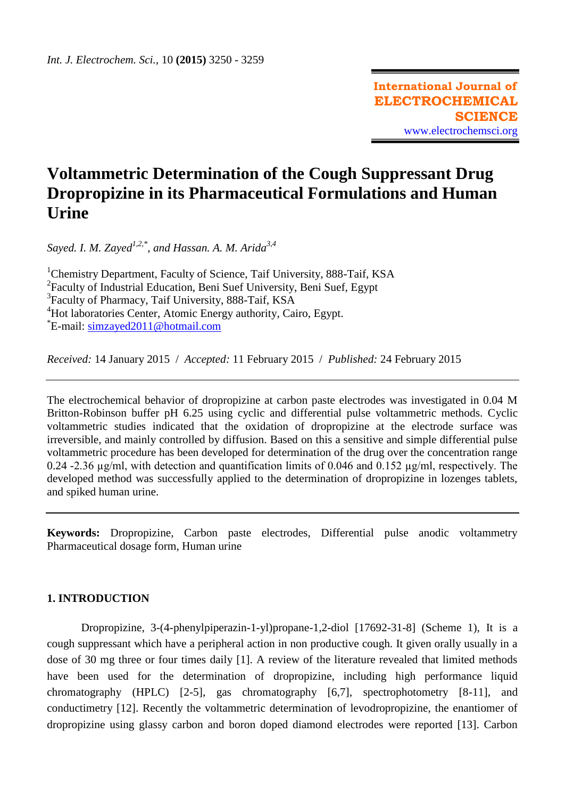# **Voltammetric Determination of the Cough Suppressant Drug Dropropizine in its Pharmaceutical Formulations and Human Urine**

*Sayed. I. M. Zayed1,2,\* , and Hassan. A. M. Arida3,4*

<sup>1</sup>Chemistry Department, Faculty of Science, Taif University, 888-Taif, KSA <sup>2</sup> Faculty of Industrial Education, Beni Suef University, Beni Suef, Egypt <sup>3</sup>Faculty of Pharmacy, Taif University, 888-Taif, KSA <sup>4</sup>Hot laboratories Center, Atomic Energy authority, Cairo, Egypt. \*E-mail: [simzayed2011@hotmail.com](mailto:simzayed2011@hotmail.com)

*Received:* 14 January 2015/ *Accepted:* 11 February 2015 / *Published:* 24 February 2015

The electrochemical behavior of dropropizine at carbon paste electrodes was investigated in 0.04 M Britton-Robinson buffer pH 6.25 using cyclic and differential pulse voltammetric methods. Cyclic voltammetric studies indicated that the oxidation of dropropizine at the electrode surface was irreversible, and mainly controlled by diffusion. Based on this a sensitive and simple differential pulse voltammetric procedure has been developed for determination of the drug over the concentration range 0.24 -2.36 µg/ml, with detection and quantification limits of 0.046 and 0.152 µg/ml, respectively. The developed method was successfully applied to the determination of dropropizine in lozenges tablets, and spiked human urine.

**Keywords:** Dropropizine, Carbon paste electrodes, Differential pulse anodic voltammetry Pharmaceutical dosage form, Human urine

# **1. INTRODUCTION**

Dropropizine, 3-(4-phenylpiperazin-1-yl)propane-1,2-diol [17692-31-8] (Scheme 1), It is a cough suppressant which have a peripheral action in non productive cough. It given orally usually in a dose of 30 mg three or four times daily [1]. A review of the literature revealed that limited methods have been used for the determination of dropropizine, including high performance liquid chromatography (HPLC) [2-5], gas chromatography [6,7], spectrophotometry [8-11], and conductimetry [12]. Recently the voltammetric determination of levodropropizine, the enantiomer of dropropizine using glassy carbon and boron doped diamond electrodes were reported [13]. Carbon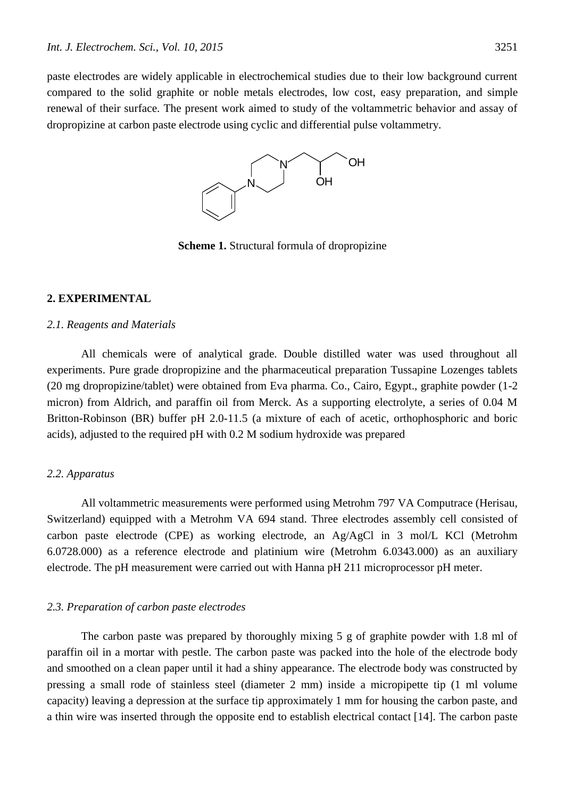paste electrodes are widely applicable in electrochemical studies due to their low background current compared to the solid graphite or noble metals electrodes, low cost, easy preparation, and simple renewal of their surface. The present work aimed to study of the voltammetric behavior and assay of dropropizine at carbon paste electrode using cyclic and differential pulse voltammetry.



**Scheme 1.** Structural formula of dropropizine

# **2. EXPERIMENTAL**

#### *2.1. Reagents and Materials*

All chemicals were of analytical grade. Double distilled water was used throughout all experiments. Pure grade dropropizine and the pharmaceutical preparation Tussapine Lozenges tablets (20 mg dropropizine/tablet) were obtained from Eva pharma. Co., Cairo, Egypt., graphite powder (1-2 micron) from Aldrich, and paraffin oil from Merck. As a supporting electrolyte, a series of 0.04 M Britton-Robinson (BR) buffer pH 2.0-11.5 (a mixture of each of acetic, orthophosphoric and boric acids), adjusted to the required pH with 0.2 M sodium hydroxide was prepared

# *2.2. Apparatus*

All voltammetric measurements were performed using Metrohm 797 VA Computrace (Herisau, Switzerland) equipped with a Metrohm VA 694 stand. Three electrodes assembly cell consisted of carbon paste electrode (CPE) as working electrode, an Ag/AgCl in 3 mol/L KCl (Metrohm 6.0728.000) as a reference electrode and platinium wire (Metrohm 6.0343.000) as an auxiliary electrode. The pH measurement were carried out with Hanna pH 211 microprocessor pH meter.

## *2.3. Preparation of carbon paste electrodes*

The carbon paste was prepared by thoroughly mixing 5 g of graphite powder with 1.8 ml of paraffin oil in a mortar with pestle. The carbon paste was packed into the hole of the electrode body and smoothed on a clean paper until it had a shiny appearance. The electrode body was constructed by pressing a small rode of stainless steel (diameter 2 mm) inside a micropipette tip (1 ml volume capacity) leaving a depression at the surface tip approximately 1 mm for housing the carbon paste, and a thin wire was inserted through the opposite end to establish electrical contact [14]. The carbon paste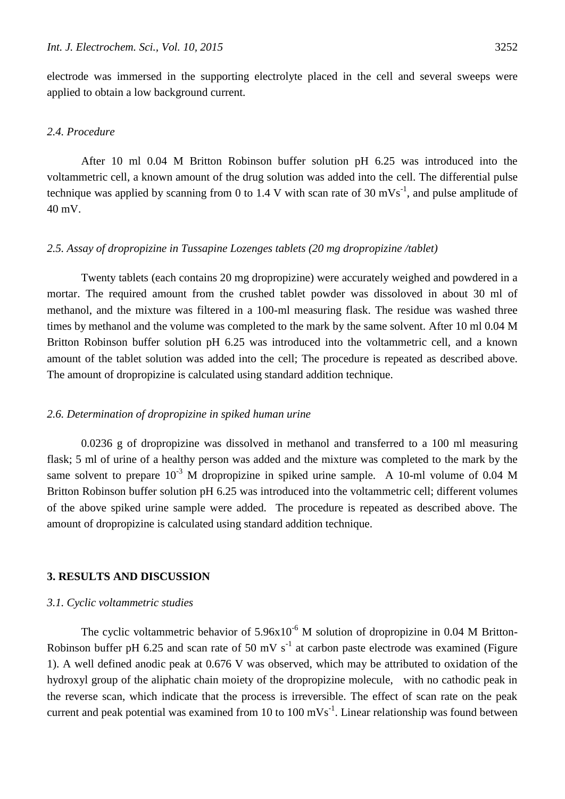electrode was immersed in the supporting electrolyte placed in the cell and several sweeps were applied to obtain a low background current.

# *2.4. Procedure*

After 10 ml 0.04 M Britton Robinson buffer solution pH 6.25 was introduced into the voltammetric cell, a known amount of the drug solution was added into the cell. The differential pulse technique was applied by scanning from 0 to 1.4 V with scan rate of 30 mVs<sup>-1</sup>, and pulse amplitude of 40 mV.

# *2.5. Assay of dropropizine in Tussapine Lozenges tablets (20 mg dropropizine /tablet)*

Twenty tablets (each contains 20 mg dropropizine) were accurately weighed and powdered in a mortar. The required amount from the crushed tablet powder was dissoloved in about 30 ml of methanol, and the mixture was filtered in a 100-ml measuring flask. The residue was washed three times by methanol and the volume was completed to the mark by the same solvent. After 10 ml 0.04 M Britton Robinson buffer solution pH 6.25 was introduced into the voltammetric cell, and a known amount of the tablet solution was added into the cell; The procedure is repeated as described above. The amount of dropropizine is calculated using standard addition technique.

# *2.6. Determination of dropropizine in spiked human urine*

0.0236 g of dropropizine was dissolved in methanol and transferred to a 100 ml measuring flask; 5 ml of urine of a healthy person was added and the mixture was completed to the mark by the same solvent to prepare  $10^{-3}$  M dropropizine in spiked urine sample. A 10-ml volume of 0.04 M Britton Robinson buffer solution pH 6.25 was introduced into the voltammetric cell; different volumes of the above spiked urine sample were added. The procedure is repeated as described above. The amount of dropropizine is calculated using standard addition technique.

# **3. RESULTS AND DISCUSSION**

#### *3.1. Cyclic voltammetric studies*

The cyclic voltammetric behavior of  $5.96x10^{-6}$  M solution of dropropizine in 0.04 M Britton-Robinson buffer pH 6.25 and scan rate of 50 mV  $s^{-1}$  at carbon paste electrode was examined (Figure 1). A well defined anodic peak at 0.676 V was observed, which may be attributed to oxidation of the hydroxyl group of the aliphatic chain moiety of the dropropizine molecule, with no cathodic peak in the reverse scan, which indicate that the process is irreversible. The effect of scan rate on the peak current and peak potential was examined from 10 to 100 mVs<sup>-1</sup>. Linear relationship was found between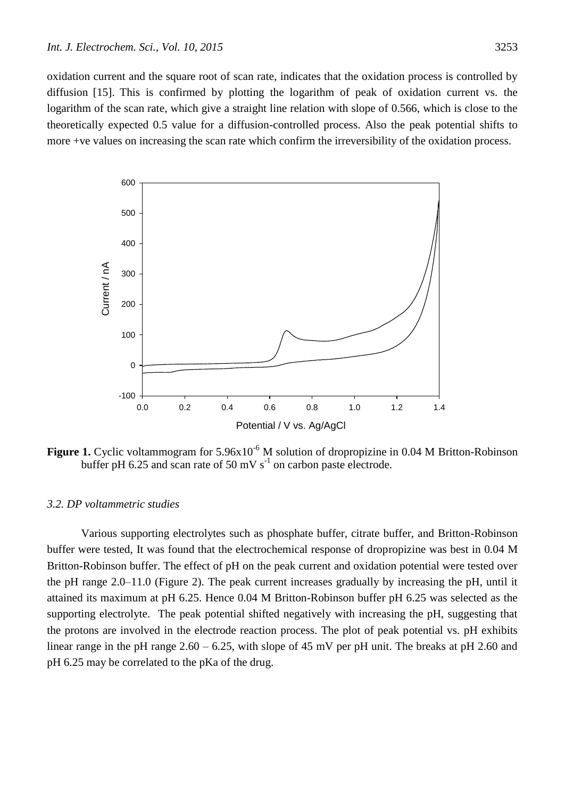oxidation current and the square root of scan rate, indicates that the oxidation process is controlled by diffusion [15]. This is confirmed by plotting the logarithm of peak of oxidation current vs. the logarithm of the scan rate, which give a straight line relation with slope of 0.566, which is close to the theoretically expected 0.5 value for a diffusion-controlled process. Also the peak potential shifts to more +ve values on increasing the scan rate which confirm the irreversibility of the oxidation process.



**Figure 1.** Cyclic voltammogram for 5.96x10<sup>-6</sup> M solution of dropropizine in 0.04 M Britton-Robinson buffer pH 6.25 and scan rate of 50 mV  $s^{-1}$  on carbon paste electrode.

# *3.2. DP voltammetric studies*

Various supporting electrolytes such as phosphate buffer, citrate buffer, and Britton-Robinson buffer were tested, It was found that the electrochemical response of dropropizine was best in 0.04 M Britton-Robinson buffer. The effect of pH on the peak current and oxidation potential were tested over the pH range 2.0–11.0 (Figure 2). The peak current increases gradually by increasing the pH, until it attained its maximum at pH 6.25. Hence 0.04 M Britton-Robinson buffer pH 6.25 was selected as the supporting electrolyte. The peak potential shifted negatively with increasing the pH, suggesting that the protons are involved in the electrode reaction process. The plot of peak potential vs. pH exhibits linear range in the pH range  $2.60 - 6.25$ , with slope of 45 mV per pH unit. The breaks at pH 2.60 and pH 6.25 may be correlated to the pKa of the drug.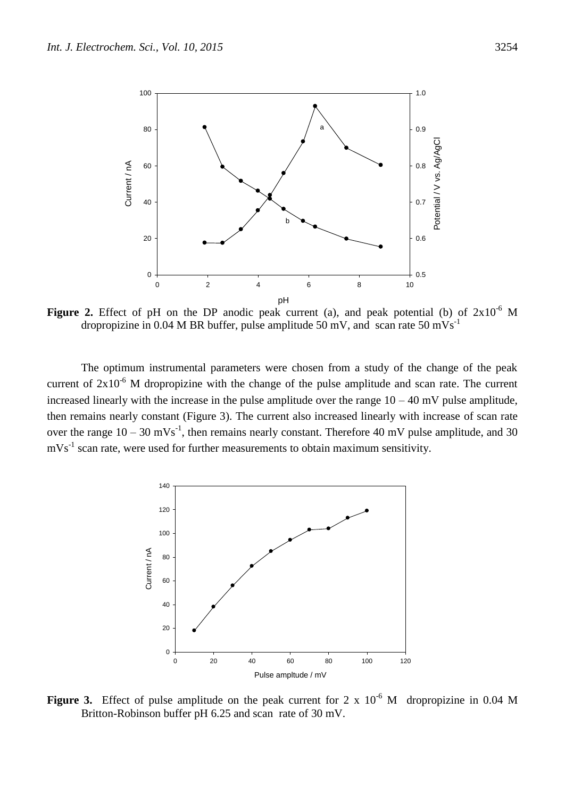

**Figure 2.** Effect of pH on the DP anodic peak current (a), and peak potential (b) of  $2x10^{-6}$  M dropropizine in 0.04 M BR buffer, pulse amplitude 50 mV, and scan rate 50 mVs<sup>-1</sup>

The optimum instrumental parameters were chosen from a study of the change of the peak current of  $2x10^{-6}$  M dropropizine with the change of the pulse amplitude and scan rate. The current increased linearly with the increase in the pulse amplitude over the range  $10 - 40$  mV pulse amplitude, then remains nearly constant (Figure 3). The current also increased linearly with increase of scan rate over the range  $10 - 30$  mVs<sup>-1</sup>, then remains nearly constant. Therefore 40 mV pulse amplitude, and 30  $mVs<sup>-1</sup>$  scan rate, were used for further measurements to obtain maximum sensitivity.



**Figure 3.** Effect of pulse amplitude on the peak current for 2 x  $10^{-6}$  M dropropizine in 0.04 M Britton-Robinson buffer pH 6.25 and scan rate of 30 mV.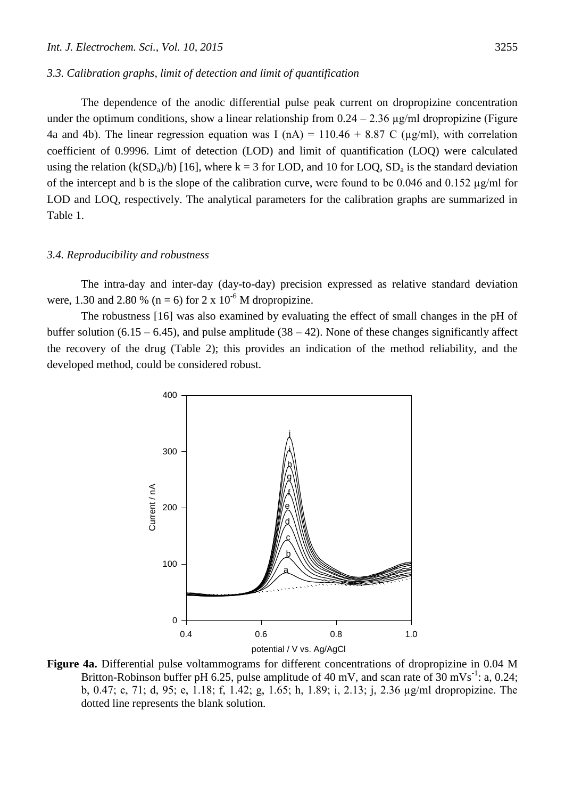# *3.3. Calibration graphs, limit of detection and limit of quantification*

The dependence of the anodic differential pulse peak current on dropropizine concentration under the optimum conditions, show a linear relationship from  $0.24 - 2.36 \mu$ g/ml dropropizine (Figure 4a and 4b). The linear regression equation was I (nA) =  $110.46 + 8.87$  C ( $\mu$ g/ml), with correlation coefficient of 0.9996. Limt of detection (LOD) and limit of quantification (LOQ) were calculated using the relation (k(SD<sub>a</sub>)/b) [16], where k = 3 for LOD, and 10 for LOQ, SD<sub>a</sub> is the standard deviation of the intercept and b is the slope of the calibration curve, were found to be 0.046 and 0.152 µg/ml for LOD and LOQ, respectively. The analytical parameters for the calibration graphs are summarized in Table 1.

## *3.4. Reproducibility and robustness*

The intra-day and inter-day (day-to-day) precision expressed as relative standard deviation were, 1.30 and 2.80 % (n = 6) for 2 x  $10^{-6}$  M dropropizine.

The robustness [16] was also examined by evaluating the effect of small changes in the pH of buffer solution (6.15 – 6.45), and pulse amplitude (38 – 42). None of these changes significantly affect the recovery of the drug (Table 2); this provides an indication of the method reliability, and the developed method, could be considered robust.



**Figure 4a.** Differential pulse voltammograms for different concentrations of dropropizine in 0.04 M Britton-Robinson buffer pH 6.25, pulse amplitude of 40 mV, and scan rate of  $30 \text{ mVs}^{-1}$ : a, 0.24; b, 0.47; c, 71; d, 95; e, 1.18; f, 1.42; g, 1.65; h, 1.89; i, 2.13; j, 2.36 µg/ml dropropizine. The dotted line represents the blank solution.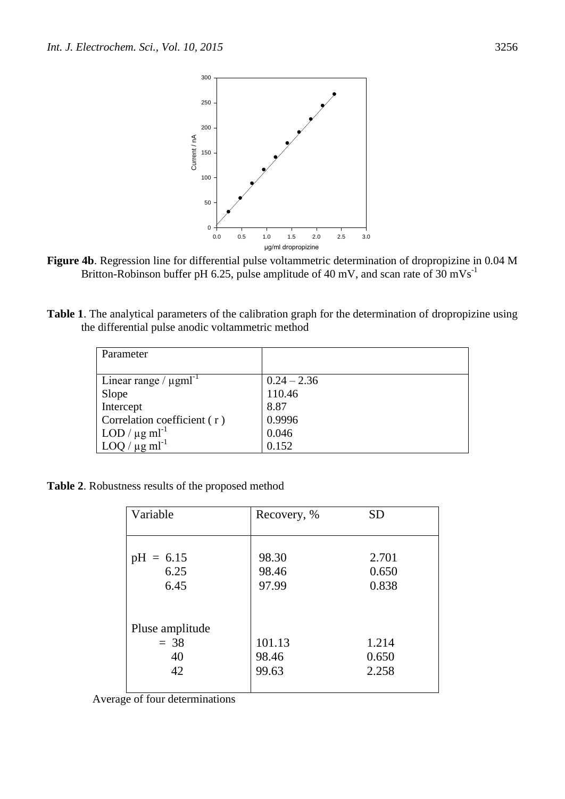

**Figure 4b**. Regression line for differential pulse voltammetric determination of dropropizine in 0.04 M Britton-Robinson buffer pH 6.25, pulse amplitude of 40 mV, and scan rate of 30 mVs<sup>-1</sup>

**Table 1**. The analytical parameters of the calibration graph for the determination of dropropizine using the differential pulse anodic voltammetric method

| Parameter                                       |               |
|-------------------------------------------------|---------------|
|                                                 |               |
| Linear range / $\mu$ gml <sup>-1</sup>          | $0.24 - 2.36$ |
| Slope                                           | 110.46        |
| Intercept                                       | 8.87          |
| Correlation coefficient (r)                     | 0.9996        |
| $\log \text{LOD} / \mu \text{g} \text{ml}^{-1}$ | 0.046         |
| $LOQ / \mu g ml^{-1}$                           | 0.152         |

**Table 2**. Robustness results of the proposed method

| Variable        | Recovery, % | <b>SD</b> |
|-----------------|-------------|-----------|
|                 |             |           |
|                 |             |           |
| $pH = 6.15$     | 98.30       | 2.701     |
| 6.25            | 98.46       | 0.650     |
| 6.45            | 97.99       | 0.838     |
|                 |             |           |
|                 |             |           |
| Pluse amplitude |             |           |
| $= 38$          | 101.13      | 1.214     |
| 40              | 98.46       | 0.650     |
| 42              | 99.63       | 2.258     |
|                 |             |           |

Average of four determinations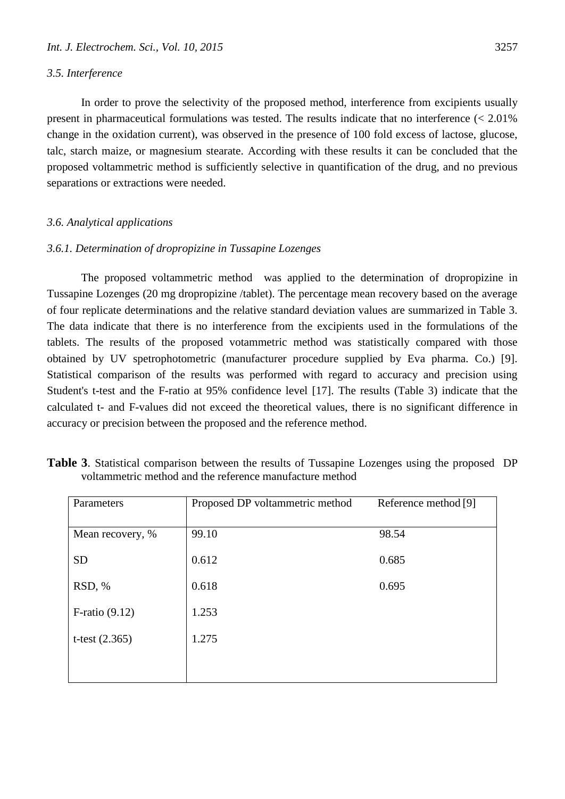# *3.5. Interference*

In order to prove the selectivity of the proposed method, interference from excipients usually present in pharmaceutical formulations was tested. The results indicate that no interference  $\langle \langle 2.01 \rangle$ change in the oxidation current), was observed in the presence of 100 fold excess of lactose, glucose, talc, starch maize, or magnesium stearate. According with these results it can be concluded that the proposed voltammetric method is sufficiently selective in quantification of the drug, and no previous separations or extractions were needed.

# *3.6. Analytical applications*

# *3.6.1. Determination of dropropizine in Tussapine Lozenges*

The proposed voltammetric method was applied to the determination of dropropizine in Tussapine Lozenges (20 mg dropropizine /tablet). The percentage mean recovery based on the average of four replicate determinations and the relative standard deviation values are summarized in Table 3. The data indicate that there is no interference from the excipients used in the formulations of the tablets. The results of the proposed votammetric method was statistically compared with those obtained by UV spetrophotometric (manufacturer procedure supplied by Eva pharma. Co.) [9]. Statistical comparison of the results was performed with regard to accuracy and precision using Student's t-test and the F-ratio at 95% confidence level [17]. The results (Table 3) indicate that the calculated t- and F-values did not exceed the theoretical values, there is no significant difference in accuracy or precision between the proposed and the reference method.

| Parameters          | Proposed DP voltammetric method | Reference method [9] |  |
|---------------------|---------------------------------|----------------------|--|
|                     |                                 |                      |  |
| Mean recovery, %    | 99.10                           | 98.54                |  |
| <b>SD</b>           | 0.612                           | 0.685                |  |
| RSD, %              | 0.618                           | 0.695                |  |
| $F$ -ratio $(9.12)$ | 1.253                           |                      |  |
| t-test $(2.365)$    | 1.275                           |                      |  |
|                     |                                 |                      |  |

| Table 3. Statistical comparison between the results of Tussapine Lozenges using the proposed DP |  |
|-------------------------------------------------------------------------------------------------|--|
| voltammetric method and the reference manufacture method                                        |  |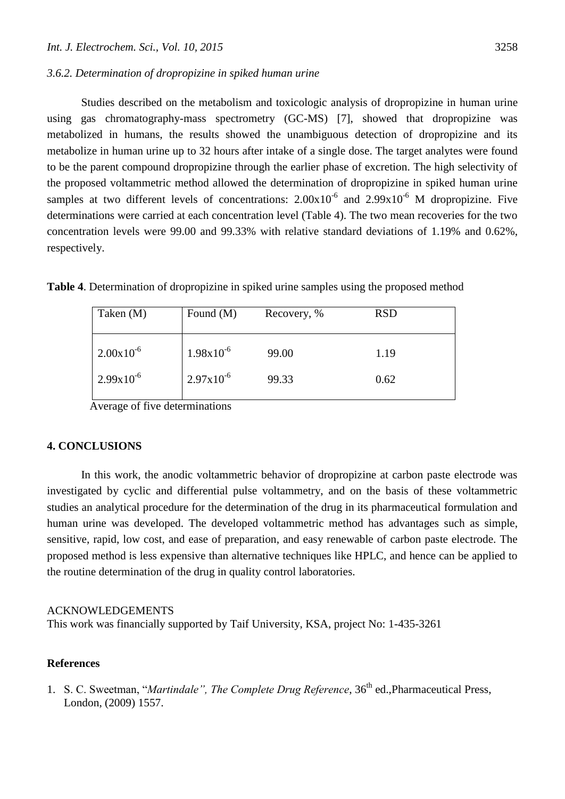Studies described on the metabolism and toxicologic analysis of dropropizine in human urine using gas chromatography-mass spectrometry (GC-MS) [7], showed that dropropizine was metabolized in humans, the results showed the unambiguous detection of dropropizine and its metabolize in human urine up to 32 hours after intake of a single dose. The target analytes were found to be the parent compound dropropizine through the earlier phase of excretion. The high selectivity of the proposed voltammetric method allowed the determination of dropropizine in spiked human urine samples at two different levels of concentrations:  $2.00 \times 10^{-6}$  and  $2.99 \times 10^{-6}$  M dropropizine. Five determinations were carried at each concentration level (Table 4). The two mean recoveries for the two concentration levels were 99.00 and 99.33% with relative standard deviations of 1.19% and 0.62%, respectively.

| Taken $(M)$           | Found $(M)$           | Recovery, % | <b>RSD</b> |
|-----------------------|-----------------------|-------------|------------|
| $2.00 \times 10^{-6}$ | $1.98x10^{-6}$        | 99.00       | 1.19       |
| $2.99x10^{-6}$        | $2.97 \times 10^{-6}$ | 99.33       | 0.62       |

**Table 4**. Determination of dropropizine in spiked urine samples using the proposed method

Average of five determinations

# **4. CONCLUSIONS**

In this work, the anodic voltammetric behavior of dropropizine at carbon paste electrode was investigated by cyclic and differential pulse voltammetry, and on the basis of these voltammetric studies an analytical procedure for the determination of the drug in its pharmaceutical formulation and human urine was developed. The developed voltammetric method has advantages such as simple, sensitive, rapid, low cost, and ease of preparation, and easy renewable of carbon paste electrode. The proposed method is less expensive than alternative techniques like HPLC, and hence can be applied to the routine determination of the drug in quality control laboratories.

## ACKNOWLEDGEMENTS

This work was financially supported by Taif University, KSA, project No: 1-435-3261

# **References**

1. S. C. Sweetman, "*Martindale", The Complete Drug Reference*, 36<sup>th</sup> ed., Pharmaceutical Press, London, (2009) 1557.